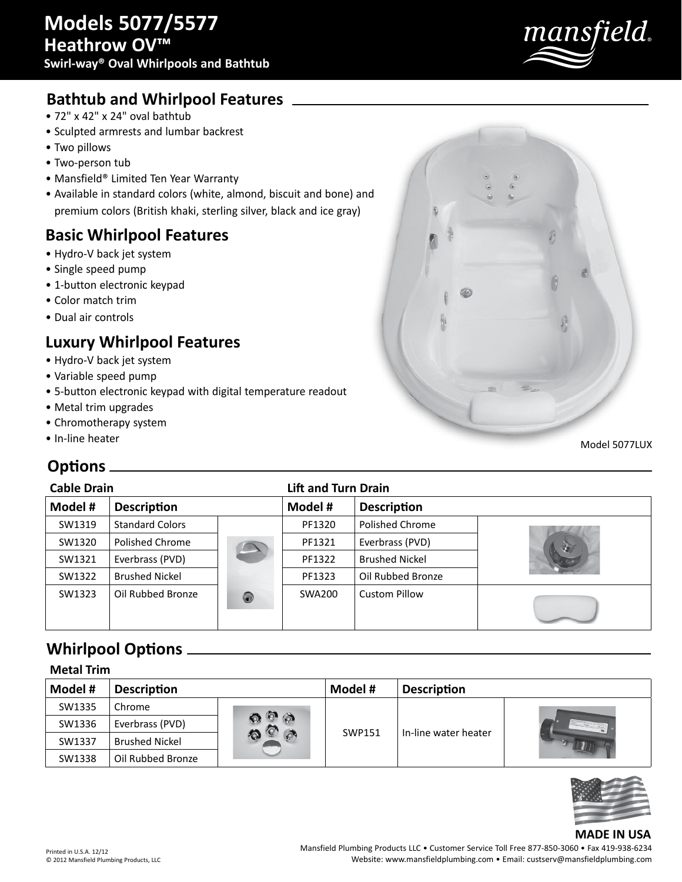

## **Bathtub and Whirlpool Features**

- 72" x 42" x 24" oval bathtub
- Sculpted armrests and lumbar backrest
- Two pillows
- Two-person tub
- Mansfield® Limited Ten Year Warranty
- Available in standard colors (white, almond, biscuit and bone) and premium colors (British khaki, sterling silver, black and ice gray)

## **Basic Whirlpool Features**

- Hydro-V back jet system
- Single speed pump
- 1-button electronic keypad
- Color match trim
- Dual air controls

# **Luxury Whirlpool Features**

- Hydro-V back jet system
- Variable speed pump
- 5-button electronic keypad with digital temperature readout
- Metal trim upgrades
- Chromotherapy system
- In-line heater

## **Options**

## **Cable Drain Lift and Turn Drain**

| GUMIC DIUIII |                        | EN GRAFI I GI II DI GI II |         |                       |  |
|--------------|------------------------|---------------------------|---------|-----------------------|--|
| Model #      | <b>Description</b>     |                           | Model # | <b>Description</b>    |  |
| SW1319       | <b>Standard Colors</b> |                           | PF1320  | Polished Chrome       |  |
| SW1320       | Polished Chrome        |                           | PF1321  | Everbrass (PVD)       |  |
| SW1321       | Everbrass (PVD)        |                           | PF1322  | <b>Brushed Nickel</b> |  |
| SW1322       | <b>Brushed Nickel</b>  |                           | PF1323  | Oil Rubbed Bronze     |  |
| SW1323       | Oil Rubbed Bronze      | 0                         | SWA200  | <b>Custom Pillow</b>  |  |

# **Whirlpool Options**

| <b>Metal Trim</b> |                       |                   |         |                      |  |  |
|-------------------|-----------------------|-------------------|---------|----------------------|--|--|
| Model #           | <b>Description</b>    |                   | Model # | <b>Description</b>   |  |  |
| SW1335            | Chrome                | $\circ$<br>$\phi$ | SWP151  |                      |  |  |
| SW1336            | Everbrass (PVD)       |                   |         | In-line water heater |  |  |
| SW1337            | <b>Brushed Nickel</b> |                   |         |                      |  |  |
| SW1338            | Oil Rubbed Bronze     |                   |         |                      |  |  |



#### **MADE IN USA**